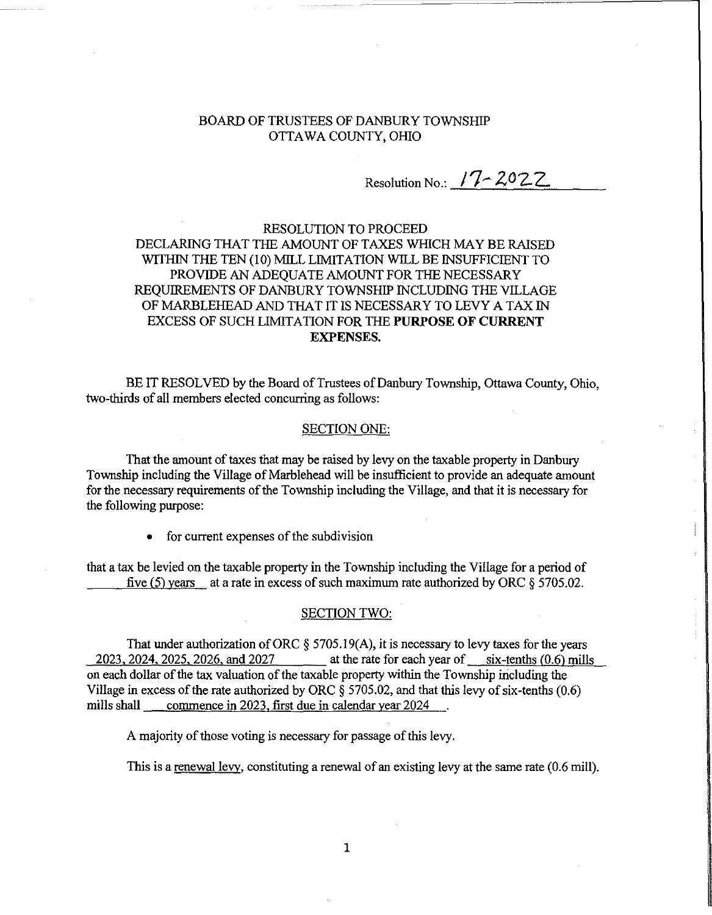## BOARD OF TRUSTEES OF DANBURY TOWNSHIP OTTAWA COUNTY, OHIO

Resolution No.: **17-2022** 

# RESOLUTION TO PROCEED DECLARING THAT THE AMOUNT OF TAXES WHICH MAYBE RAISED WITHIN THE TEN (10) MILL LIMITATION WILL BE INSUFFICIENT TO PROVIDE AN ADEQUATE AMOUNT FOR THE NECESSARY REQUIREMENTS OF DANBURY TOWNSHIP INCLUDING THE VILLAGE OF MARBLEHEAD AND THAT IT IS NECESSARY TO LEVY A TAX IN EXCESS OF SUCH LIMITATION FOR THE **PURPOSE OF CURRENT**  EXPENSES.

BE IT RESOLVED by the Board of Trustees of Danbury Township, Ottawa County, Ohio, two-thirds of all members elected concurring as follows:

#### SECTION ONE:

That the amount of taxes that may be raised by levy on the taxable property in Danbury Township including the Village of Marblehead will be insufficient to provide an adequate amount for the necessary requirements of the Township including the Village, and that it is necessary for the following purpose:

• for current expenses of the subdivision

that a tax be levied on the taxable property in the Township including the Village for a period of five (5) years at a rate in excess of such maximum rate authorized by ORC  $\S 5705.02$ .

#### SECTION TWO:

That under authorization of ORC  $\S$  5705.19(A), it is necessary to levy taxes for the years 2023,2024,2025,2026, and 2027 at the rate for each year of six-tenths (0.6) mills on each dollar of the tax valuation of the taxable property within the Township iricluding the Village in excess of the rate authorized by ORC  $\frac{2}{9}$  5705.02, and that this levy of six-tenths (0.6) mills shall commence in 2023, first due in calendar year 2024

A majority of those voting is necessary for passage of this levy.

This is a renewal levy, constituting a renewal of an existing levy at the same rate (0.6 mill).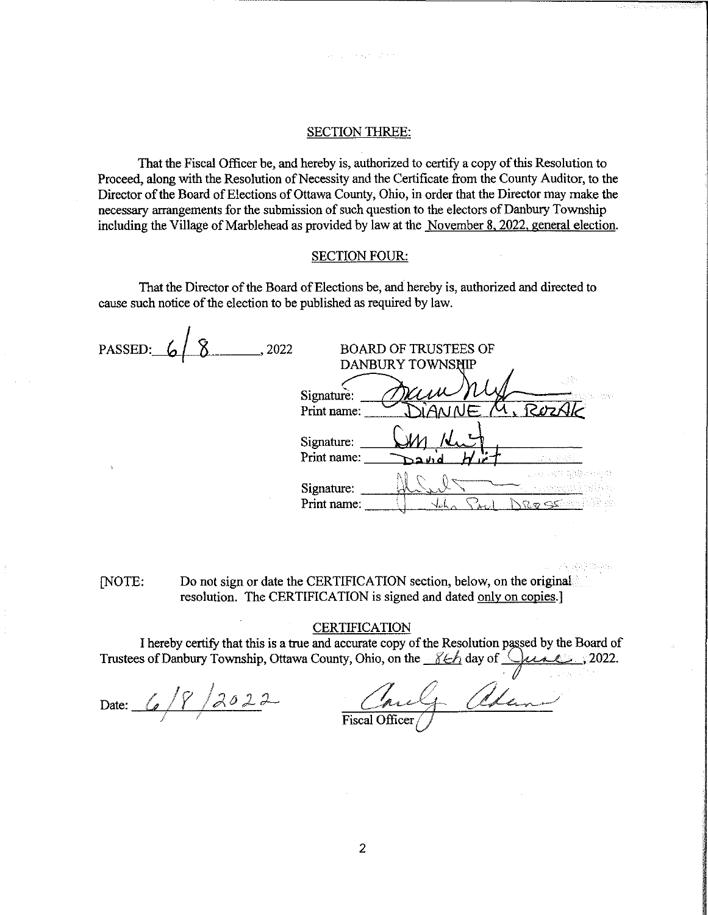#### SECTION THREE:

That the Fiscal Officer be, and hereby is, authorized to certify a copy of this Resolution to Proceed, along with the Resolution of Necessity and the Certificate from the County Auditor, to the Director of the Board of Elections of Ottawa County, Ohio, in order that the Director may make the necessary arrangements for the submission of such question to the electors of Danbury Township including the Village of Marblehead as provided by law at the November 8, 2022, general election,

### SECTION FOUR:

That the Director of the Board of Elections be, and hereby is, authorized and directed to cause such notice of the election to be published as required by law.

| PASSED:  | 2022                      | <b>BOARD OF TRUSTEES OF</b><br>DANBURY TOWNSHIP |    |
|----------|---------------------------|-------------------------------------------------|----|
|          | Signature:<br>Print name: |                                                 | 군인 |
| $\Delta$ | Signature:<br>Print name: |                                                 |    |
|          | Signature:<br>Print name: |                                                 |    |

[NOTE: Do not sign or date the CERTIFICATION section, below, on the original resolution. The CERTIFICATION is signed and dated only on copies.]

## **CERTIFICATION**

I hereby certify that this is a true and accurate copy of the Resolution passed by the Board of Thereby certify that this is a true and accurate copy of the Resolution passed by the Board of Trustees of Danbury Township, Ottawa County, Ohio, on the <u>86h</u> day of <u>Quanden</u>, 2022.

Date:  $\_\angle$  $\frac{1}{2}$ *j;J,O;L:J-*

Coule Alan

**198 BASHARA**